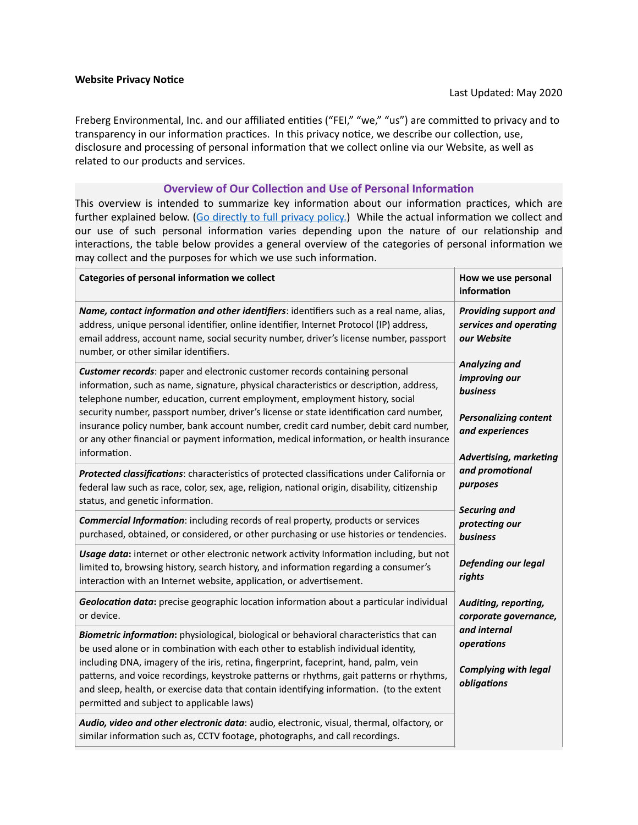Freberg Environmental, Inc. and our affiliated entities ("FEI," "we," "us") are committed to privacy and to transparency in our information practices. In this privacy notice, we describe our collection, use, disclosure and processing of personal information that we collect online via our Website, as well as related to our products and services.

#### **Overview of Our Collection and Use of Personal Information**

This overview is intended to summarize key information about our information practices, which are further explained below. [\(Go directly to full privacy policy.\)](#page-1-0) While the actual information we collect and our use of such personal information varies depending upon the nature of our relationship and interactions, the table below provides a general overview of the categories of personal information we may collect and the purposes for which we use such information.

| Categories of personal information we collect                                                                                                                                                                                                                                                                                                                                                                                                                                                             | How we use personal<br>information                                                                                                                                                                    |
|-----------------------------------------------------------------------------------------------------------------------------------------------------------------------------------------------------------------------------------------------------------------------------------------------------------------------------------------------------------------------------------------------------------------------------------------------------------------------------------------------------------|-------------------------------------------------------------------------------------------------------------------------------------------------------------------------------------------------------|
| Name, contact information and other identifiers: identifiers such as a real name, alias,<br>address, unique personal identifier, online identifier, Internet Protocol (IP) address,<br>email address, account name, social security number, driver's license number, passport<br>number, or other similar identifiers.                                                                                                                                                                                    | <b>Providing support and</b><br>services and operating<br>our Website                                                                                                                                 |
| Customer records: paper and electronic customer records containing personal<br>information, such as name, signature, physical characteristics or description, address,<br>telephone number, education, current employment, employment history, social                                                                                                                                                                                                                                                     | Analyzing and<br>improving our<br>business                                                                                                                                                            |
| security number, passport number, driver's license or state identification card number,<br>insurance policy number, bank account number, credit card number, debit card number,<br>or any other financial or payment information, medical information, or health insurance<br>information.                                                                                                                                                                                                                | <b>Personalizing content</b><br>and experiences<br><b>Advertising, marketing</b><br>and promotional<br>purposes<br><b>Securing and</b><br>protecting our<br>business<br>Defending our legal<br>rights |
| Protected classifications: characteristics of protected classifications under California or<br>federal law such as race, color, sex, age, religion, national origin, disability, citizenship<br>status, and genetic information.                                                                                                                                                                                                                                                                          |                                                                                                                                                                                                       |
| <b>Commercial Information:</b> including records of real property, products or services<br>purchased, obtained, or considered, or other purchasing or use histories or tendencies.                                                                                                                                                                                                                                                                                                                        |                                                                                                                                                                                                       |
| Usage data: internet or other electronic network activity Information including, but not<br>limited to, browsing history, search history, and information regarding a consumer's<br>interaction with an Internet website, application, or advertisement.                                                                                                                                                                                                                                                  |                                                                                                                                                                                                       |
| Geolocation data: precise geographic location information about a particular individual<br>or device.                                                                                                                                                                                                                                                                                                                                                                                                     | Auditing, reporting,<br>corporate governance,                                                                                                                                                         |
| Biometric information: physiological, biological or behavioral characteristics that can<br>be used alone or in combination with each other to establish individual identity,<br>including DNA, imagery of the iris, retina, fingerprint, faceprint, hand, palm, vein<br>patterns, and voice recordings, keystroke patterns or rhythms, gait patterns or rhythms,<br>and sleep, health, or exercise data that contain identifying information. (to the extent<br>permitted and subject to applicable laws) | and internal<br>operations<br><b>Complying with legal</b><br>obligations                                                                                                                              |
| Audio, video and other electronic data: audio, electronic, visual, thermal, olfactory, or<br>similar information such as, CCTV footage, photographs, and call recordings.                                                                                                                                                                                                                                                                                                                                 |                                                                                                                                                                                                       |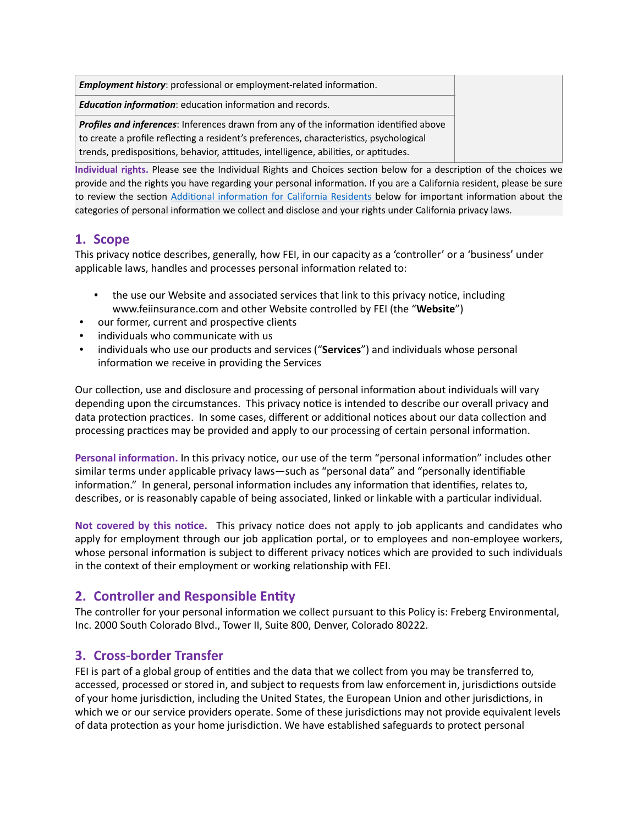| <b>Employment history:</b> professional or employment-related information.                    |
|-----------------------------------------------------------------------------------------------|
| <b>Education information:</b> education information and records.                              |
| <b>Profiles and inferences:</b> Inferences drawn from any of the information identified above |
| to create a profile reflecting a resident's preferences, characteristics, psychological       |
| trends, predispositions, behavior, attitudes, intelligence, abilities, or aptitudes.          |

Individual rights. Please see the Individual Rights and Choices section below for a description of the choices we provide and the rights you have regarding your personal information. If you are a California resident, please be sure to review the section Additional information for California Residents below for important information about the categories of personal information we collect and disclose and your rights under California privacy laws.

# <span id="page-1-0"></span>**1. Scope**

This privacy notice describes, generally, how FEI, in our capacity as a 'controller' or a 'business' under applicable laws, handles and processes personal information related to:

- the use our Website and associated services that link to this privacy notice, including www.feiinsurance.com and other Website controlled by FEI (the "**Website**")
- our former, current and prospective clients
- individuals who communicate with us
- individuals who use our products and services ("**Services**") and individuals whose personal information we receive in providing the Services

Our collection, use and disclosure and processing of personal information about individuals will vary depending upon the circumstances. This privacy notice is intended to describe our overall privacy and data protection practices. In some cases, different or additional notices about our data collection and processing practices may be provided and apply to our processing of certain personal information.

Personal information. In this privacy notice, our use of the term "personal information" includes other similar terms under applicable privacy laws—such as "personal data" and "personally identifiable information." In general, personal information includes any information that identifies, relates to, describes, or is reasonably capable of being associated, linked or linkable with a particular individual.

**Not covered by this notice.** This privacy notice does not apply to job applicants and candidates who apply for employment through our job application portal, or to employees and non-employee workers, whose personal information is subject to different privacy notices which are provided to such individuals in the context of their employment or working relationship with FEI.

## **2. Controller and Responsible Entity**

The controller for your personal information we collect pursuant to this Policy is: Freberg Environmental, Inc. 2000 South Colorado Blvd., Tower II, Suite 800, Denver, Colorado 80222.

## **3. Cross-border Transfer**

FEI is part of a global group of entities and the data that we collect from you may be transferred to, accessed, processed or stored in, and subject to requests from law enforcement in, jurisdictions outside of your home jurisdiction, including the United States, the European Union and other jurisdictions, in which we or our service providers operate. Some of these jurisdictions may not provide equivalent levels of data protection as your home jurisdiction. We have established safeguards to protect personal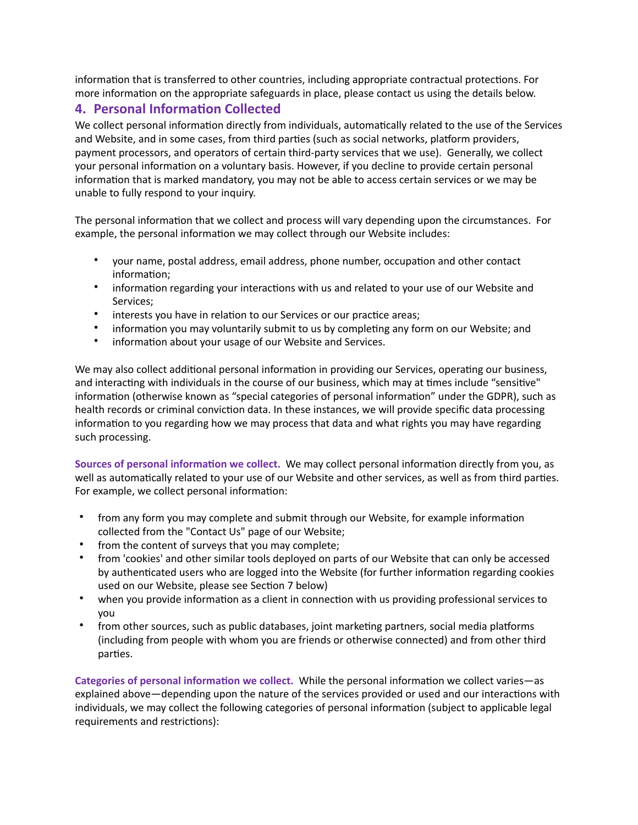information that is transferred to other countries, including appropriate contractual protections. For more information on the appropriate safeguards in place, please contact us using the details below.

# <span id="page-2-0"></span>**4. Personal Information Collected**

We collect personal information directly from individuals, automatically related to the use of the Services and Website, and in some cases, from third parties (such as social networks, platform providers, payment processors, and operators of certain third-party services that we use). Generally, we collect your personal information on a voluntary basis. However, if you decline to provide certain personal information that is marked mandatory, you may not be able to access certain services or we may be unable to fully respond to your inquiry.

The personal information that we collect and process will vary depending upon the circumstances. For example, the personal information we may collect through our Website includes:

- your name, postal address, email address, phone number, occupation and other contact information;
- information regarding your interactions with us and related to your use of our Website and Services;
- interests you have in relation to our Services or our practice areas;
- information you may voluntarily submit to us by completing any form on our Website; and
- information about your usage of our Website and Services.

We may also collect additional personal information in providing our Services, operating our business, and interacting with individuals in the course of our business, which may at times include "sensitive" information (otherwise known as "special categories of personal information" under the GDPR), such as health records or criminal conviction data. In these instances, we will provide specific data processing information to you regarding how we may process that data and what rights you may have regarding such processing.

Sources of personal information we collect. We may collect personal information directly from you, as well as automatically related to your use of our Website and other services, as well as from third parties. For example, we collect personal information:

- from any form you may complete and submit through our Website, for example information collected from the "Contact Us" page of our Website;
- from the content of surveys that you may complete;
- from 'cookies' and other similar tools deployed on parts of our Website that can only be accessed by authenticated users who are logged into the Website (for further information regarding cookies used on our Website, please see Section 7 below)
- when you provide information as a client in connection with us providing professional services to you
- from other sources, such as public databases, joint marketing partners, social media platforms (including from people with whom you are friends or otherwise connected) and from other third parties.

Categories of personal information we collect. While the personal information we collect varies—as explained above—depending upon the nature of the services provided or used and our interactions with individuals, we may collect the following categories of personal information (subject to applicable legal requirements and restrictions):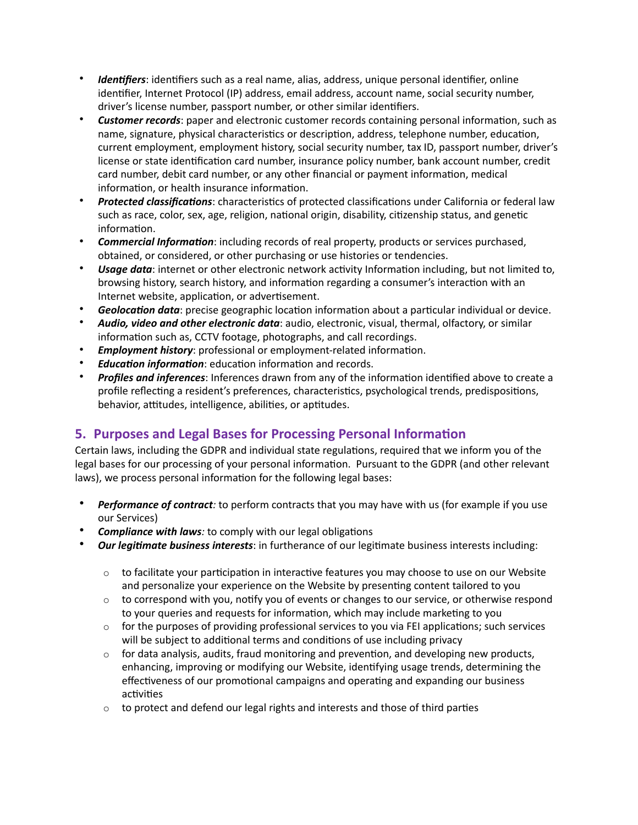- *Identifiers*: identifiers such as a real name, alias, address, unique personal identifier, online identifier, Internet Protocol (IP) address, email address, account name, social security number, driver's license number, passport number, or other similar identifiers.
- **Customer records**: paper and electronic customer records containing personal information, such as name, signature, physical characteristics or description, address, telephone number, education, current employment, employment history, social security number, tax ID, passport number, driver's license or state identification card number, insurance policy number, bank account number, credit card number, debit card number, or any other financial or payment information, medical information, or health insurance information.
- *Protected classifications*: characteristics of protected classifications under California or federal law such as race, color, sex, age, religion, national origin, disability, citizenship status, and genetic information.
- **Commercial Information**: including records of real property, products or services purchased, obtained, or considered, or other purchasing or use histories or tendencies.
- *Usage data*: internet or other electronic network activity Information including, but not limited to, browsing history, search history, and information regarding a consumer's interaction with an Internet website, application, or advertisement.
- **Geolocation data**: precise geographic location information about a particular individual or device.
- *Audio, video and other electronic data*: audio, electronic, visual, thermal, olfactory, or similar information such as, CCTV footage, photographs, and call recordings.
- *Employment history*: professional or employment-related information.
- *Education information*: education information and records.
- Profiles and inferences: Inferences drawn from any of the information identified above to create a profile reflecting a resident's preferences, characteristics, psychological trends, predispositions, behavior, attitudes, intelligence, abilities, or aptitudes.

## <span id="page-3-0"></span>**5. Purposes and Legal Bases for Processing Personal Information**

Certain laws, including the GDPR and individual state regulations, required that we inform you of the legal bases for our processing of your personal information. Pursuant to the GDPR (and other relevant laws), we process personal information for the following legal bases:

- *Performance of contract:* to perform contracts that you may have with us (for example if you use our Services)
- **Compliance with laws**: to comply with our legal obligations
- *Our legitimate business interests*: in furtherance of our legitimate business interests including:
	- $\circ$  to facilitate your participation in interactive features you may choose to use on our Website and personalize your experience on the Website by presenting content tailored to you
	- $\circ$  to correspond with you, notify you of events or changes to our service, or otherwise respond to your queries and requests for information, which may include marketing to you
	- $\circ$  for the purposes of providing professional services to you via FEI applications; such services will be subject to additional terms and conditions of use including privacy
	- $\circ$  for data analysis, audits, fraud monitoring and prevention, and developing new products, enhancing, improving or modifying our Website, identifying usage trends, determining the effectiveness of our promotional campaigns and operating and expanding our business activities
	- $\circ$  to protect and defend our legal rights and interests and those of third parties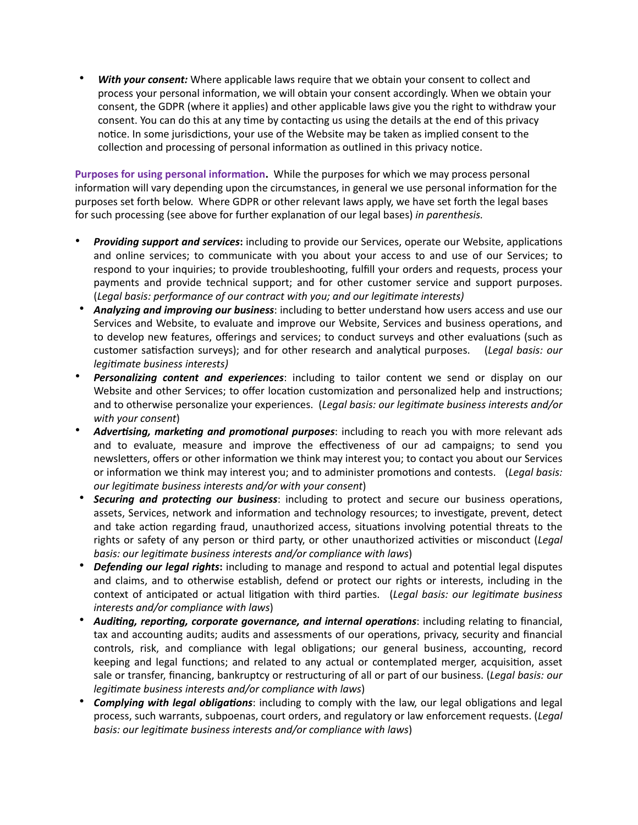• *With your consent:* Where applicable laws require that we obtain your consent to collect and process your personal information, we will obtain your consent accordingly. When we obtain your consent, the GDPR (where it applies) and other applicable laws give you the right to withdraw your consent. You can do this at any time by contacting us using the details at the end of this privacy notice. In some jurisdictions, your use of the Website may be taken as implied consent to the collection and processing of personal information as outlined in this privacy notice.

Purposes for using personal information. While the purposes for which we may process personal information will vary depending upon the circumstances, in general we use personal information for the purposes set forth below. Where GDPR or other relevant laws apply, we have set forth the legal bases for such processing (see above for further explanation of our legal bases) *in parenthesis.* 

- **Providing support and services:** including to provide our Services, operate our Website, applications and online services; to communicate with you about your access to and use of our Services; to respond to your inquiries; to provide troubleshooting, fulfill your orders and requests, process your payments and provide technical support; and for other customer service and support purposes. (*Legal basis: performance of our contract with you; and our legi:mate interests)*
- Analyzing and improving our business: including to better understand how users access and use our Services and Website, to evaluate and improve our Website, Services and business operations, and to develop new features, offerings and services; to conduct surveys and other evaluations (such as customer satisfaction surveys); and for other research and analytical purposes. (*Legal basis: our legitimate business interests)*
- *Personalizing content and experiences*: including to tailor content we send or display on our Website and other Services; to offer location customization and personalized help and instructions; and to otherwise personalize your experiences. (Legal basis: our legitimate business interests and/or *with your consent*)
- Advertising, marketing and promotional purposes: including to reach you with more relevant ads and to evaluate, measure and improve the effectiveness of our ad campaigns; to send you newsletters, offers or other information we think may interest you; to contact you about our Services or information we think may interest you; and to administer promotions and contests. (*Legal basis: our legitimate business interests and/or with your consent*)
- **Securing and protecting our business**: including to protect and secure our business operations, assets, Services, network and information and technology resources; to investigate, prevent, detect and take action regarding fraud, unauthorized access, situations involving potential threats to the rights or safety of any person or third party, or other unauthorized activities or misconduct (*Legal basis: our legitimate business interests and/or compliance with laws*)
- *Defending our legal rights*: including to manage and respond to actual and potential legal disputes and claims, and to otherwise establish, defend or protect our rights or interests, including in the context of anticipated or actual litigation with third parties. (*Legal basis: our legitimate business interests and/or compliance with laws*)
- Auditing, reporting, corporate governance, and internal operations: including relating to financial, tax and accounting audits; audits and assessments of our operations, privacy, security and financial controls, risk, and compliance with legal obligations; our general business, accounting, record keeping and legal functions; and related to any actual or contemplated merger, acquisition, asset sale or transfer, financing, bankruptcy or restructuring of all or part of our business. (*Legal basis: our legitimate business interests and/or compliance with laws*)
- **Complying with legal obligations**: including to comply with the law, our legal obligations and legal process, such warrants, subpoenas, court orders, and regulatory or law enforcement requests. (*Legal basis: our legitimate business interests and/or compliance with laws*)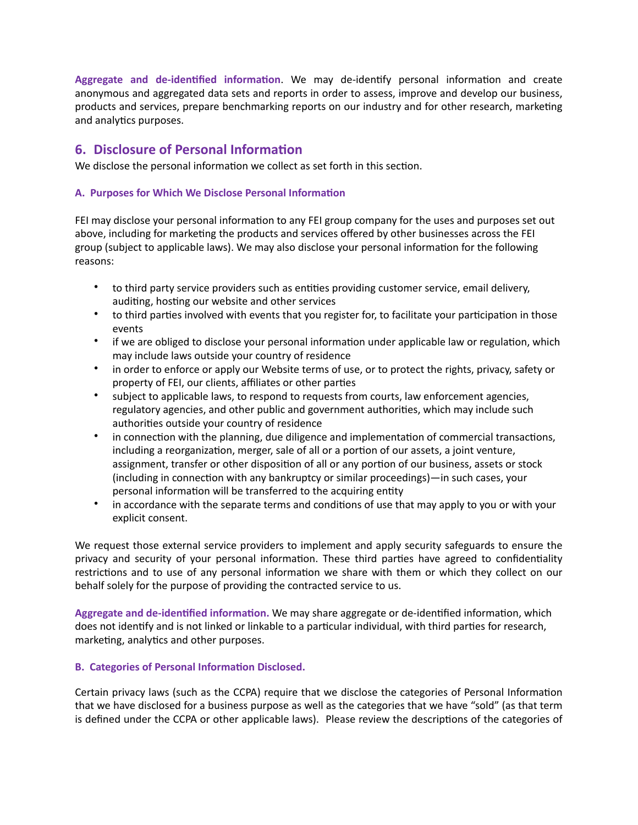Aggregate and de-identified information. We may de-identify personal information and create anonymous and aggregated data sets and reports in order to assess, improve and develop our business, products and services, prepare benchmarking reports on our industry and for other research, marketing and analytics purposes.

## **6.** Disclosure of Personal Information

We disclose the personal information we collect as set forth in this section.

#### A. Purposes for Which We Disclose Personal Information

FEI may disclose your personal information to any FEI group company for the uses and purposes set out above, including for marketing the products and services offered by other businesses across the FEI group (subject to applicable laws). We may also disclose your personal information for the following reasons:

- to third party service providers such as entities providing customer service, email delivery, auditing, hosting our website and other services
- to third parties involved with events that you register for, to facilitate your participation in those events
- if we are obliged to disclose your personal information under applicable law or regulation, which may include laws outside your country of residence
- in order to enforce or apply our Website terms of use, or to protect the rights, privacy, safety or property of FEI, our clients, affiliates or other parties
- subject to applicable laws, to respond to requests from courts, law enforcement agencies, regulatory agencies, and other public and government authorities, which may include such authorities outside your country of residence
- in connection with the planning, due diligence and implementation of commercial transactions, including a reorganization, merger, sale of all or a portion of our assets, a joint venture, assignment, transfer or other disposition of all or any portion of our business, assets or stock  $(including in connection with any bankruptcy or similar proceedings)$ —in such cases, your personal information will be transferred to the acquiring entity
- in accordance with the separate terms and conditions of use that may apply to you or with your explicit consent.

We request those external service providers to implement and apply security safeguards to ensure the privacy and security of your personal information. These third parties have agreed to confidentiality restrictions and to use of any personal information we share with them or which they collect on our behalf solely for the purpose of providing the contracted service to us.

Aggregate and de-identified information. We may share aggregate or de-identified information, which does not identify and is not linked or linkable to a particular individual, with third parties for research, marketing, analytics and other purposes.

#### **B. Categories of Personal Information Disclosed.**

Certain privacy laws (such as the CCPA) require that we disclose the categories of Personal Information that we have disclosed for a business purpose as well as the categories that we have "sold" (as that term is defined under the CCPA or other applicable laws). Please review the descriptions of the categories of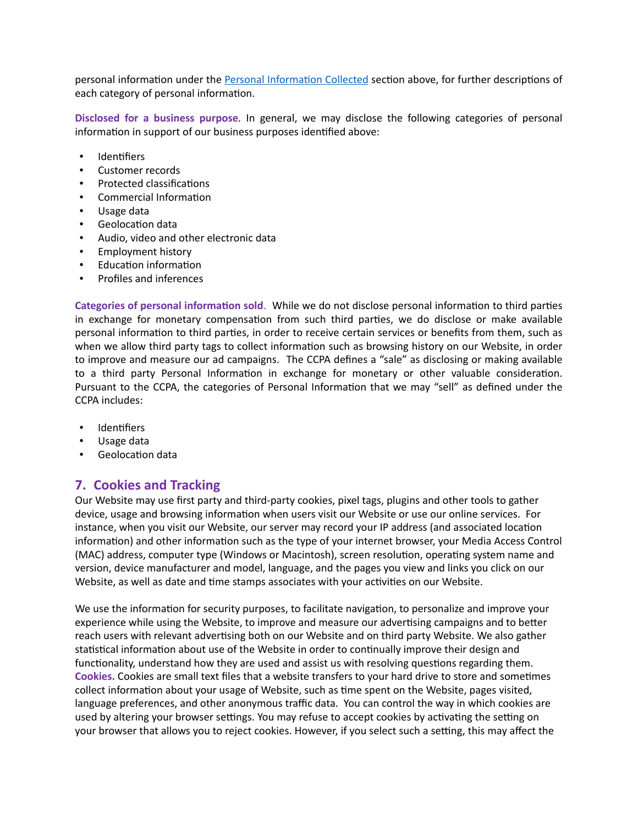personal information under the Personal Information Collected section above, for further descriptions of each category of personal information.

**Disclosed for a business purpose***.* In general, we may disclose the following categories of personal information in support of our business purposes identified above:

- Identifiers
- Customer records
- Protected classifications
- Commercial Information
- Usage data
- Geolocation data
- Audio, video and other electronic data
- Employment history
- Education information
- Profiles and inferences

**Categories of personal information sold.** While we do not disclose personal information to third parties in exchange for monetary compensation from such third parties, we do disclose or make available personal information to third parties, in order to receive certain services or benefits from them, such as when we allow third party tags to collect information such as browsing history on our Website, in order to improve and measure our ad campaigns. The CCPA defines a "sale" as disclosing or making available to a third party Personal Information in exchange for monetary or other valuable consideration. Pursuant to the CCPA, the categories of Personal Information that we may "sell" as defined under the CCPA includes:

- Identifiers
- Usage data
- Geolocation data

### **7. Cookies and Tracking**

Our Website may use first party and third-party cookies, pixel tags, plugins and other tools to gather device, usage and browsing information when users visit our Website or use our online services. For instance, when you visit our Website, our server may record your IP address (and associated location information) and other information such as the type of your internet browser, your Media Access Control (MAC) address, computer type (Windows or Macintosh), screen resolution, operating system name and version, device manufacturer and model, language, and the pages you view and links you click on our Website, as well as date and time stamps associates with your activities on our Website.

We use the information for security purposes, to facilitate navigation, to personalize and improve your experience while using the Website, to improve and measure our advertising campaigns and to better reach users with relevant advertising both on our Website and on third party Website. We also gather statistical information about use of the Website in order to continually improve their design and functionality, understand how they are used and assist us with resolving questions regarding them. Cookies. Cookies are small text files that a website transfers to your hard drive to store and sometimes collect information about your usage of Website, such as time spent on the Website, pages visited, language preferences, and other anonymous traffic data. You can control the way in which cookies are used by altering your browser settings. You may refuse to accept cookies by activating the setting on your browser that allows you to reject cookies. However, if you select such a setting, this may affect the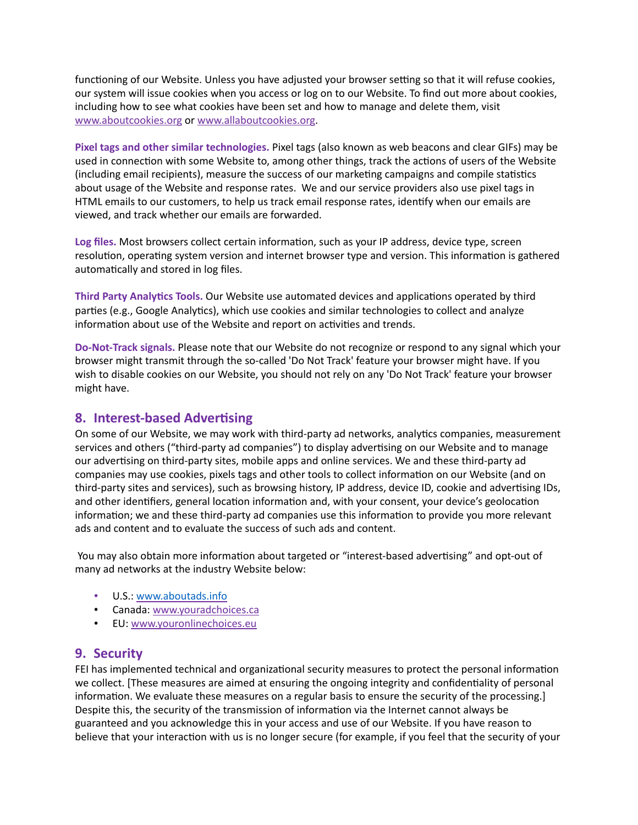functioning of our Website. Unless you have adjusted your browser setting so that it will refuse cookies, our system will issue cookies when you access or log on to our Website. To find out more about cookies, including how to see what cookies have been set and how to manage and delete them, visit [www.aboutcookies.org](http://www.aboutcookies.org/) or [www.allaboutcookies.org.](http://www.allaboutcookies.org/)

**Pixel tags and other similar technologies.** Pixel tags (also known as web beacons and clear GIFs) may be used in connection with some Website to, among other things, track the actions of users of the Website (including email recipients), measure the success of our marketing campaigns and compile statistics about usage of the Website and response rates. We and our service providers also use pixel tags in HTML emails to our customers, to help us track email response rates, identify when our emails are viewed, and track whether our emails are forwarded.

Log files. Most browsers collect certain information, such as your IP address, device type, screen resolution, operating system version and internet browser type and version. This information is gathered automatically and stored in log files.

**Third Party Analytics Tools.** Our Website use automated devices and applications operated by third parties (e.g., Google Analytics), which use cookies and similar technologies to collect and analyze information about use of the Website and report on activities and trends.

**Do-Not-Track signals.** Please note that our Website do not recognize or respond to any signal which your browser might transmit through the so-called 'Do Not Track' feature your browser might have. If you wish to disable cookies on our Website, you should not rely on any 'Do Not Track' feature your browser might have.

### **8. Interest-based Advertising**

On some of our Website, we may work with third-party ad networks, analytics companies, measurement services and others ("third-party ad companies") to display advertising on our Website and to manage our advertising on third-party sites, mobile apps and online services. We and these third-party ad companies may use cookies, pixels tags and other tools to collect information on our Website (and on third-party sites and services), such as browsing history, IP address, device ID, cookie and advertising IDs, and other identifiers, general location information and, with your consent, your device's geolocation information; we and these third-party ad companies use this information to provide you more relevant ads and content and to evaluate the success of such ads and content.

You may also obtain more information about targeted or "interest-based advertising" and opt-out of many ad networks at the industry Website below:

- U.S.: [www.aboutads.info](http://www.aboutads.info/)
- Canada: [www.youradchoices.ca](http://www.youradchoices.ca/)
- EU: [www.youronlinechoices.eu](http://www.youronlinechoices.eu/)

### **9. Security**

FEI has implemented technical and organizational security measures to protect the personal information we collect. [These measures are aimed at ensuring the ongoing integrity and confidentiality of personal information. We evaluate these measures on a regular basis to ensure the security of the processing.] Despite this, the security of the transmission of information via the Internet cannot always be guaranteed and you acknowledge this in your access and use of our Website. If you have reason to believe that your interaction with us is no longer secure (for example, if you feel that the security of your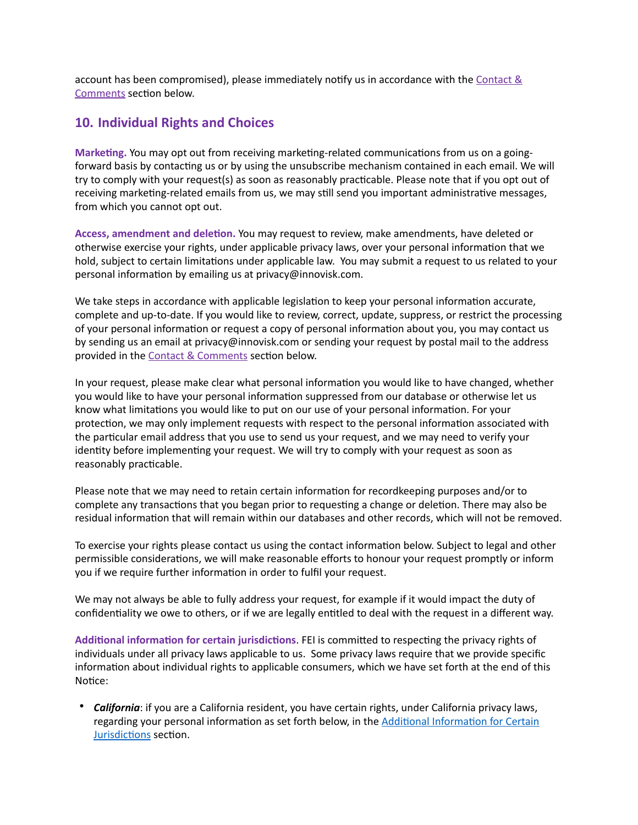account has been compromised), please immediately notify us in accordance with the Contact  $\&$ Comments section below.

## **10. Individual Rights and Choices**

Marketing. You may opt out from receiving marketing-related communications from us on a goingforward basis by contacting us or by using the unsubscribe mechanism contained in each email. We will try to comply with your request(s) as soon as reasonably practicable. Please note that if you opt out of receiving marketing-related emails from us, we may still send you important administrative messages, from which you cannot opt out.

Access, amendment and deletion. You may request to review, make amendments, have deleted or otherwise exercise your rights, under applicable privacy laws, over your personal information that we hold, subject to certain limitations under applicable law. You may submit a request to us related to your personal information by emailing us at privacy@innovisk.com.

We take steps in accordance with applicable legislation to keep your personal information accurate, complete and up-to-date. If you would like to review, correct, update, suppress, or restrict the processing of your personal information or request a copy of personal information about you, you may contact us by sending us an email at privacy@innovisk.com or sending your request by postal mail to the address provided in the Contact & Comments section below.

In your request, please make clear what personal information you would like to have changed, whether you would like to have your personal information suppressed from our database or otherwise let us know what limitations you would like to put on our use of your personal information. For your protection, we may only implement requests with respect to the personal information associated with the particular email address that you use to send us your request, and we may need to verify your identity before implementing your request. We will try to comply with your request as soon as reasonably practicable.

Please note that we may need to retain certain information for recordkeeping purposes and/or to complete any transactions that you began prior to requesting a change or deletion. There may also be residual information that will remain within our databases and other records, which will not be removed.

To exercise your rights please contact us using the contact information below. Subject to legal and other permissible considerations, we will make reasonable efforts to honour your request promptly or inform you if we require further information in order to fulfil your request.

We may not always be able to fully address your request, for example if it would impact the duty of confidentiality we owe to others, or if we are legally entitled to deal with the request in a different way.

Additional information for certain jurisdictions. FEI is committed to respecting the privacy rights of individuals under all privacy laws applicable to us. Some privacy laws require that we provide specific information about individual rights to applicable consumers, which we have set forth at the end of this Notice:

• *California*: if you are a California resident, you have certain rights, under California privacy laws, regarding your personal information as set forth below, in the Additional Information for Certain Jurisdictions section.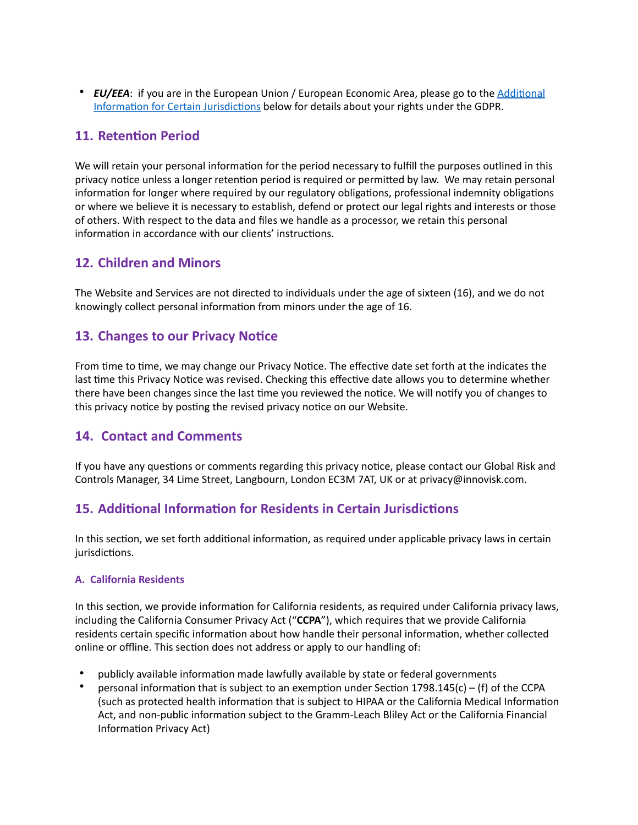• *EU/EEA*: if you are in the European Union / European Economic Area, please go to the Additional Information for Certain Jurisdictions below for details about your rights under the GDPR.

## **11. Retention Period**

We will retain your personal information for the period necessary to fulfill the purposes outlined in this privacy notice unless a longer retention period is required or permitted by law. We may retain personal information for longer where required by our regulatory obligations, professional indemnity obligations or where we believe it is necessary to establish, defend or protect our legal rights and interests or those of others. With respect to the data and files we handle as a processor, we retain this personal information in accordance with our clients' instructions.

## **12. Children and Minors**

The Website and Services are not directed to individuals under the age of sixteen (16), and we do not knowingly collect personal information from minors under the age of 16.

## **13. Changes to our Privacy Notice**

From time to time, we may change our Privacy Notice. The effective date set forth at the indicates the last time this Privacy Notice was revised. Checking this effective date allows you to determine whether there have been changes since the last time you reviewed the notice. We will notify you of changes to this privacy notice by posting the revised privacy notice on our Website.

## **14. Contact and Comments**

If you have any questions or comments regarding this privacy notice, please contact our Global Risk and Controls Manager, 34 Lime Street, Langbourn, London EC3M 7AT, UK or at privacy@innovisk.com.

## <span id="page-9-0"></span>**15. Additional Information for Residents in Certain Jurisdictions**

In this section, we set forth additional information, as required under applicable privacy laws in certain jurisdictions.

#### **A. California Residents**

In this section, we provide information for California residents, as required under California privacy laws, including the California Consumer Privacy Act ("**CCPA**"), which requires that we provide California residents certain specific information about how handle their personal information, whether collected online or offline. This section does not address or apply to our handling of:

- publicly available information made lawfully available by state or federal governments
- personal information that is subject to an exemption under Section 1798.145(c) (f) of the CCPA (such as protected health information that is subject to HIPAA or the California Medical Information Act, and non-public information subject to the Gramm-Leach Bliley Act or the California Financial Information Privacy Act)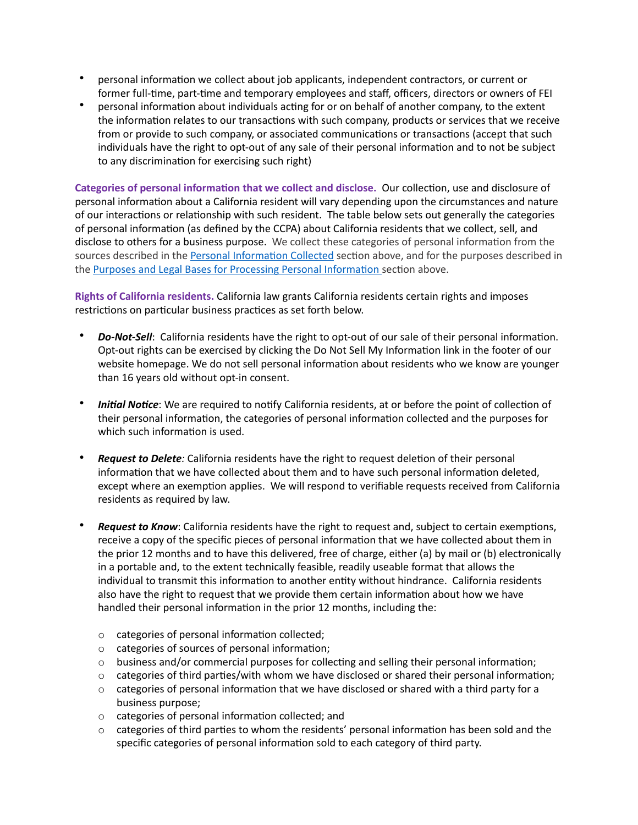- personal information we collect about job applicants, independent contractors, or current or former full-time, part-time and temporary employees and staff, officers, directors or owners of FEI
- personal information about individuals acting for or on behalf of another company, to the extent the information relates to our transactions with such company, products or services that we receive from or provide to such company, or associated communications or transactions (accept that such individuals have the right to opt-out of any sale of their personal information and to not be subject to any discrimination for exercising such right)

Categories of personal information that we collect and disclose. Our collection, use and disclosure of personal information about a California resident will vary depending upon the circumstances and nature of our interactions or relationship with such resident. The table below sets out generally the categories of personal information (as defined by the CCPA) about California residents that we collect, sell, and disclose to others for a business purpose. We collect these categories of personal information from the sources described in the Personal Information Collected section above, and for the purposes described in the Purposes and Legal Bases for Processing Personal Information section above.

**Rights of California residents.** California law grants California residents certain rights and imposes restrictions on particular business practices as set forth below.

- **Do-Not-Sell**: California residents have the right to opt-out of our sale of their personal information. Opt-out rights can be exercised by clicking the Do Not Sell My Information link in the footer of our website homepage. We do not sell personal information about residents who we know are younger than 16 years old without opt-in consent.
- *Initial Notice*: We are required to notify California residents, at or before the point of collection of their personal information, the categories of personal information collected and the purposes for which such information is used.
- **Request to Delete**: California residents have the right to request deletion of their personal information that we have collected about them and to have such personal information deleted, except where an exemption applies. We will respond to verifiable requests received from California residents as required by law.
- Request to Know: California residents have the right to request and, subject to certain exemptions, receive a copy of the specific pieces of personal information that we have collected about them in the prior 12 months and to have this delivered, free of charge, either (a) by mail or (b) electronically in a portable and, to the extent technically feasible, readily useable format that allows the individual to transmit this information to another entity without hindrance. California residents also have the right to request that we provide them certain information about how we have handled their personal information in the prior 12 months, including the:
	- $\circ$  categories of personal information collected;
	- $\circ$  categories of sources of personal information;
	- $\circ$  business and/or commercial purposes for collecting and selling their personal information;
	- $\circ$  categories of third parties/with whom we have disclosed or shared their personal information;
	- $\circ$  categories of personal information that we have disclosed or shared with a third party for a business purpose;
	- $\circ$  categories of personal information collected; and
	- $\circ$  categories of third parties to whom the residents' personal information has been sold and the specific categories of personal information sold to each category of third party.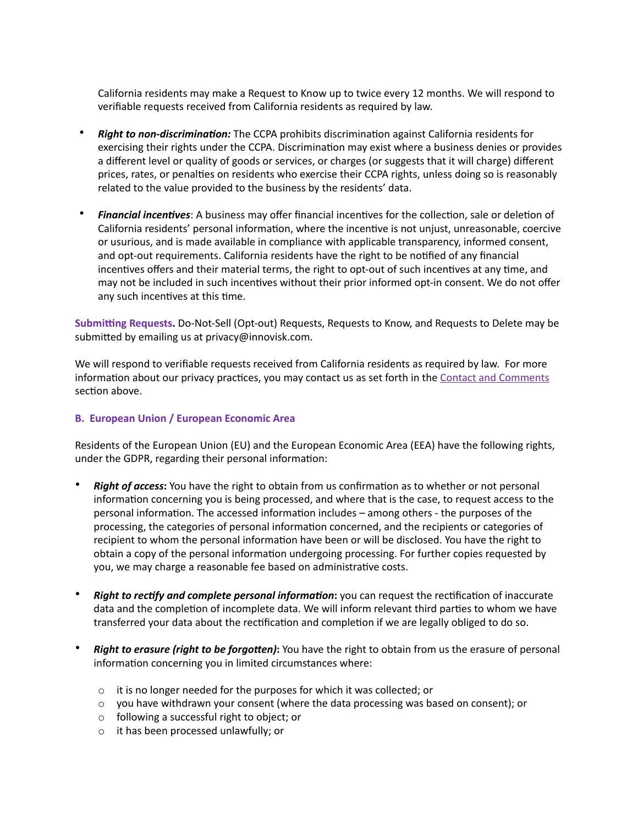California residents may make a Request to Know up to twice every 12 months. We will respond to verifiable requests received from California residents as required by law.

- **Right to non-discrimination:** The CCPA prohibits discrimination against California residents for exercising their rights under the CCPA. Discrimination may exist where a business denies or provides a different level or quality of goods or services, or charges (or suggests that it will charge) different prices, rates, or penalties on residents who exercise their CCPA rights, unless doing so is reasonably related to the value provided to the business by the residents' data.
- **Financial incentives**: A business may offer financial incentives for the collection, sale or deletion of California residents' personal information, where the incentive is not unjust, unreasonable, coercive or usurious, and is made available in compliance with applicable transparency, informed consent, and opt-out requirements. California residents have the right to be notified of any financial incentives offers and their material terms, the right to opt-out of such incentives at any time, and may not be included in such incentives without their prior informed opt-in consent. We do not offer any such incentives at this time.

**Submi\ng Requests.** Do-Not-Sell (Opt-out) Requests, Requests to Know, and Requests to Delete may be submitted by emailing us at privacy@innovisk.com.

We will respond to verifiable requests received from California residents as required by law. For more information about our privacy practices, you may contact us as set forth in the Contact and Comments section above.

#### **B. European Union / European Economic Area**

Residents of the European Union (EU) and the European Economic Area (EEA) have the following rights, under the GDPR, regarding their personal information:

- **Right of access:** You have the right to obtain from us confirmation as to whether or not personal information concerning you is being processed, and where that is the case, to request access to the personal information. The accessed information includes – among others - the purposes of the processing, the categories of personal information concerned, and the recipients or categories of recipient to whom the personal information have been or will be disclosed. You have the right to obtain a copy of the personal information undergoing processing. For further copies requested by you, we may charge a reasonable fee based on administrative costs.
- *Right to rectify and complete personal information:* you can request the rectification of inaccurate data and the completion of incomplete data. We will inform relevant third parties to whom we have transferred your data about the rectification and completion if we are legally obliged to do so.
- **Right to erasure (right to be forgotten):** You have the right to obtain from us the erasure of personal information concerning you in limited circumstances where:
	- $\circ$  it is no longer needed for the purposes for which it was collected; or
	- $\circ$  you have withdrawn your consent (where the data processing was based on consent); or
	- o following a successful right to object; or
	- o it has been processed unlawfully; or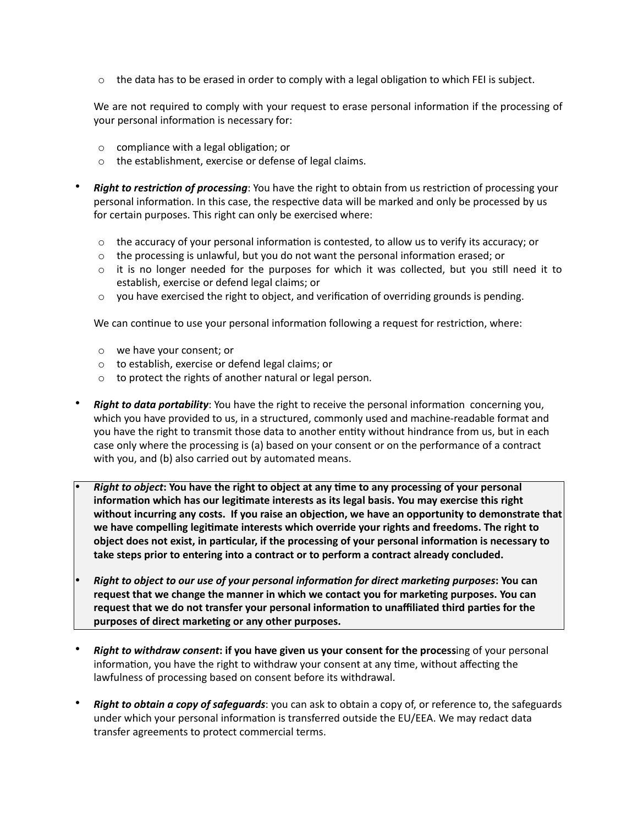$\circ$  the data has to be erased in order to comply with a legal obligation to which FEI is subject.

We are not required to comply with your request to erase personal information if the processing of your personal information is necessary for:

- $\circ$  compliance with a legal obligation; or
- o the establishment, exercise or defense of legal claims.
- **Right to restriction of processing**: You have the right to obtain from us restriction of processing your personal information. In this case, the respective data will be marked and only be processed by us for certain purposes. This right can only be exercised where:
	- $\circ$  the accuracy of your personal information is contested, to allow us to verify its accuracy; or
	- $\circ$  the processing is unlawful, but you do not want the personal information erased; or
	- $\circ$  it is no longer needed for the purposes for which it was collected, but you still need it to establish, exercise or defend legal claims; or
	- $\circ$  you have exercised the right to object, and verification of overriding grounds is pending.

We can continue to use your personal information following a request for restriction, where:

- o we have your consent; or
- o to establish, exercise or defend legal claims; or
- o to protect the rights of another natural or legal person.
- **Right to data portability**: You have the right to receive the personal information concerning you, which you have provided to us, in a structured, commonly used and machine-readable format and you have the right to transmit those data to another entity without hindrance from us, but in each case only where the processing is (a) based on your consent or on the performance of a contract with you, and (b) also carried out by automated means.
	- *Right to object*: You have the right to object at any time to any processing of your personal information which has our legitimate interests as its legal basis. You may exercise this right without incurring any costs. If you raise an objection, we have an opportunity to demonstrate that we have compelling legitimate interests which override your rights and freedoms. The right to object does not exist, in particular, if the processing of your personal information is necessary to **take steps prior to entering into a contract or to perform a contract already concluded.**
- *Right to object to our use of your personal information for direct marketing purposes*: You can request that we change the manner in which we contact you for marketing purposes. You can request that we do not transfer your personal information to unaffiliated third parties for the purposes of direct marketing or any other purposes.
- *Right to withdraw consent***: if you have given us your consent for the process**ing of your personal information, you have the right to withdraw your consent at any time, without affecting the lawfulness of processing based on consent before its withdrawal.
- *Right to obtain a copy of safeguards*: you can ask to obtain a copy of, or reference to, the safeguards under which your personal information is transferred outside the EU/EEA. We may redact data transfer agreements to protect commercial terms.